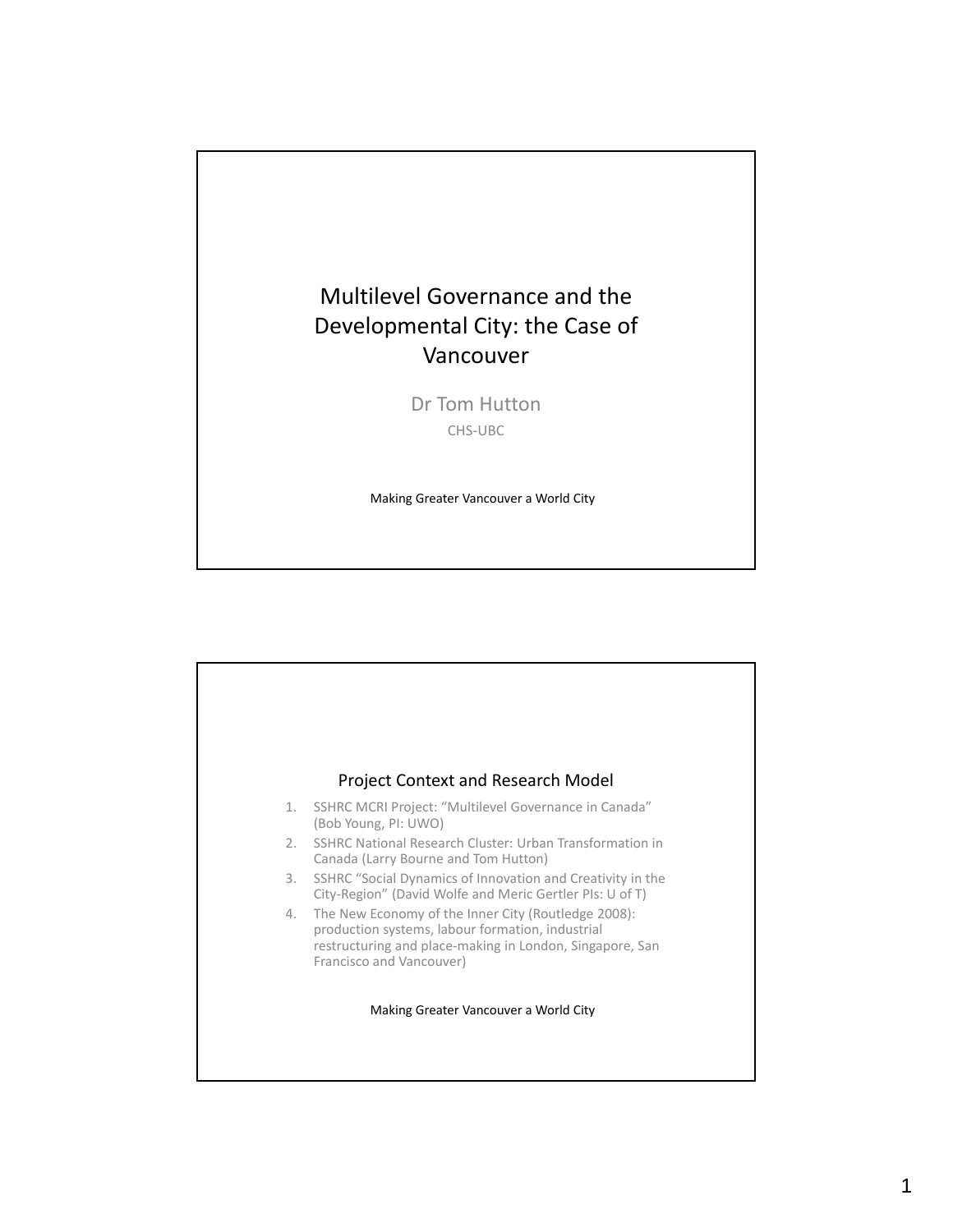# Multilevel Governance and the Developmental City: the Case of Vancouver

Dr Tom Hutton CHS‐UBC

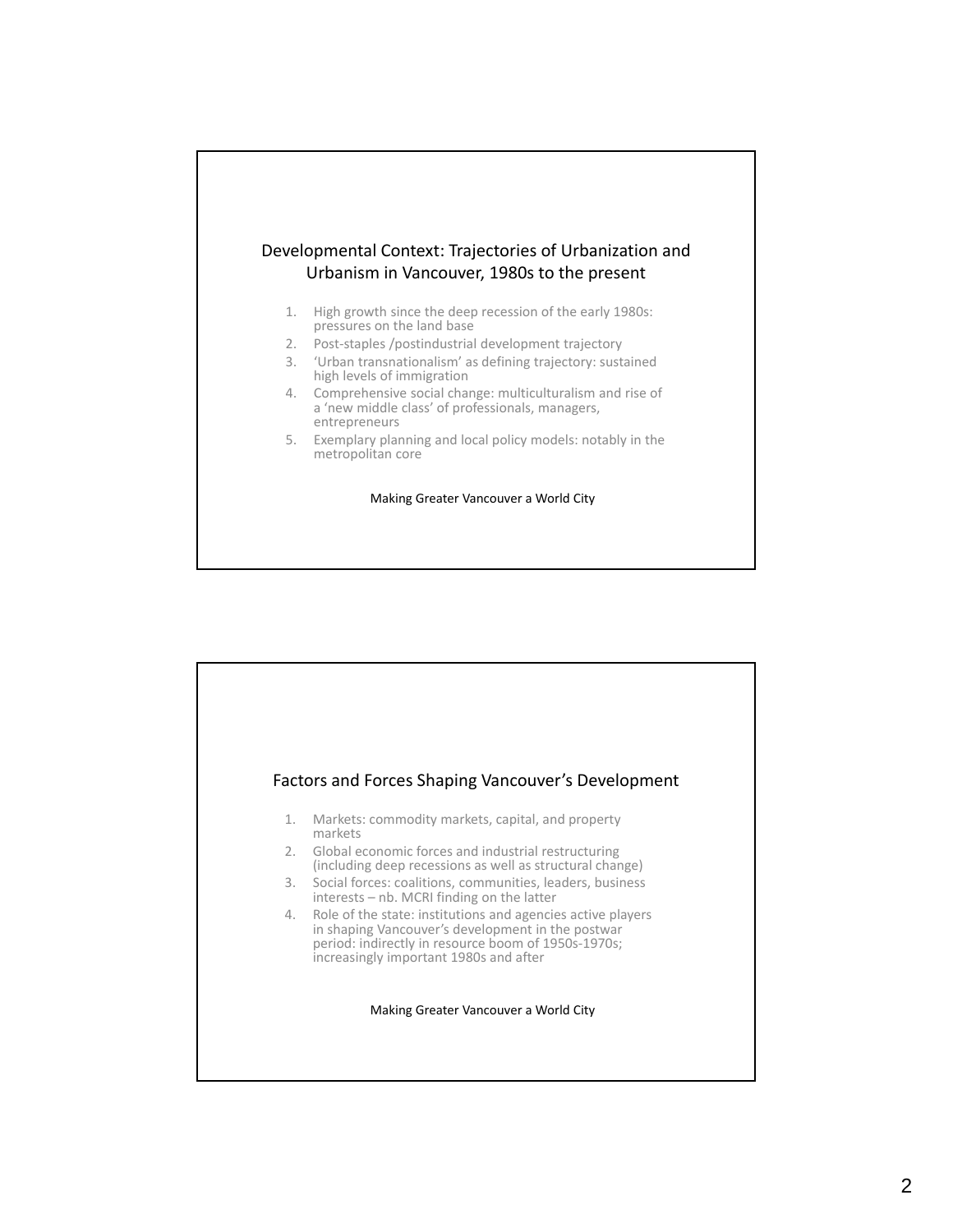### Developmental Context: Trajectories of Urbanization and Urbanism in Vancouver, 1980s to the present

- 1. High growth since the deep recession of the early 1980s: pressures on the land base
- 2. Post-staples /postindustrial development trajectory
- 3. 'Urban transnationalism' as defining trajectory: sustained high levels of immigration
- 4. Comprehensive social change: multiculturalism and rise of a 'new middle class' of professionals, managers, entrepreneurs
- 5. Exemplary planning and local policy models: notably in the metropolitan core

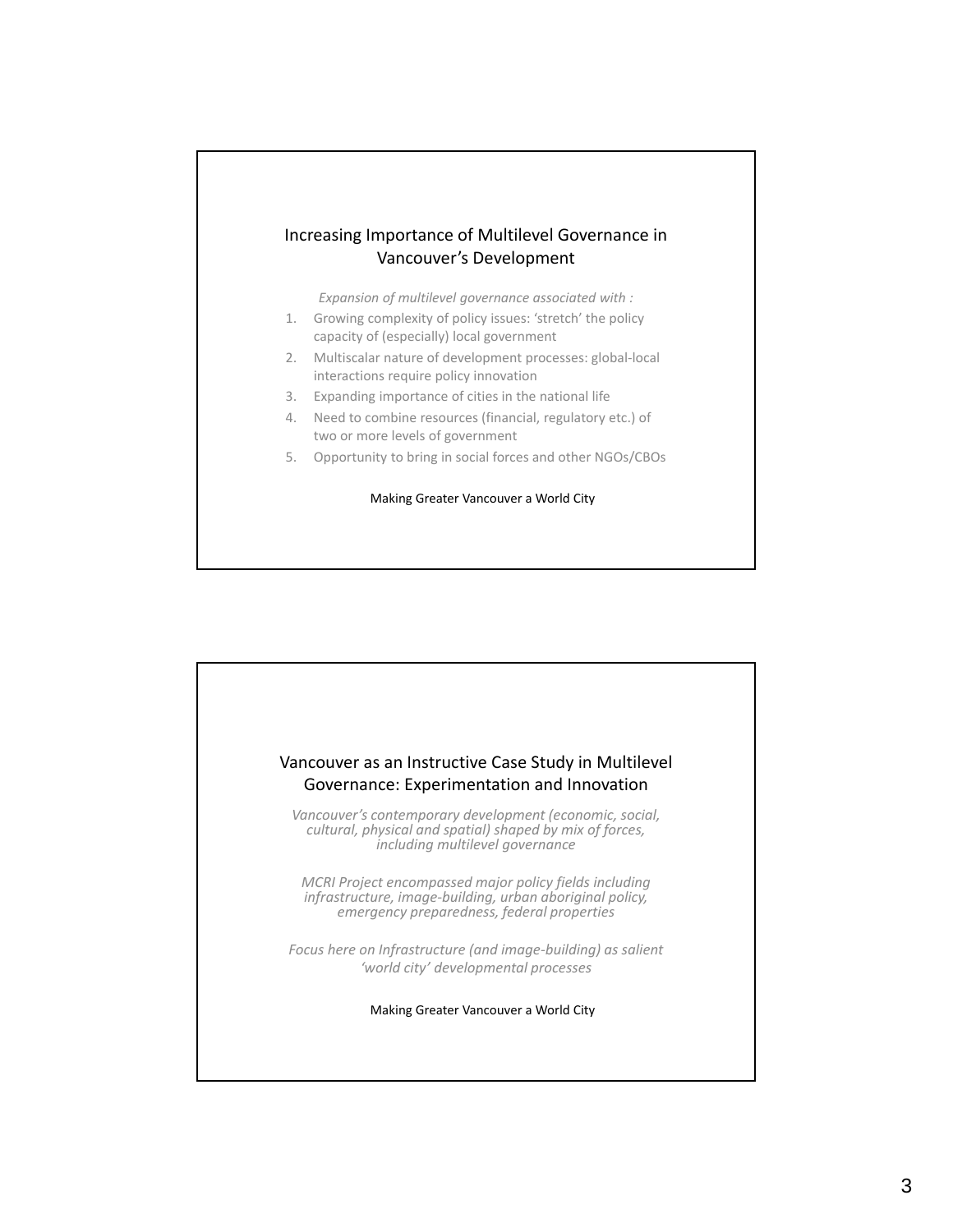#### Increasing Importance of Multilevel Governance in Vancouver's Development

*Expansion of multilevel governance associated with :*

- 1. Growing complexity of policy issues: 'stretch' the policy capacity of (especially) local government
- 2. Multiscalar nature of development processes: global‐local interactions require policy innovation
- 3. Expanding importance of cities in the national life
- 4. Need to combine resources (financial, regulatory etc.) of two or more levels of government
- 5. Opportunity to bring in social forces and other NGOs/CBOs

![](_page_2_Picture_8.jpeg)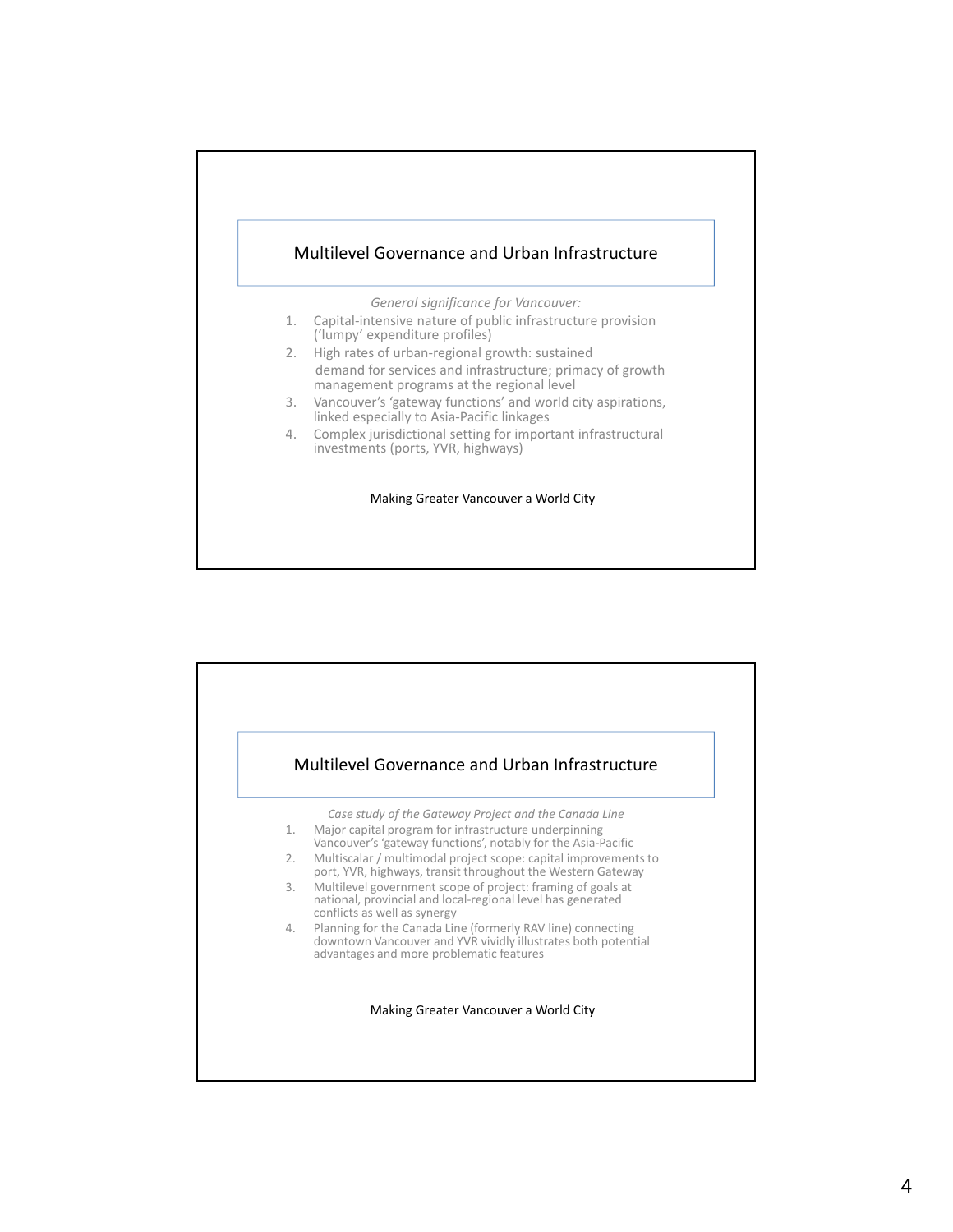![](_page_3_Figure_0.jpeg)

![](_page_3_Figure_1.jpeg)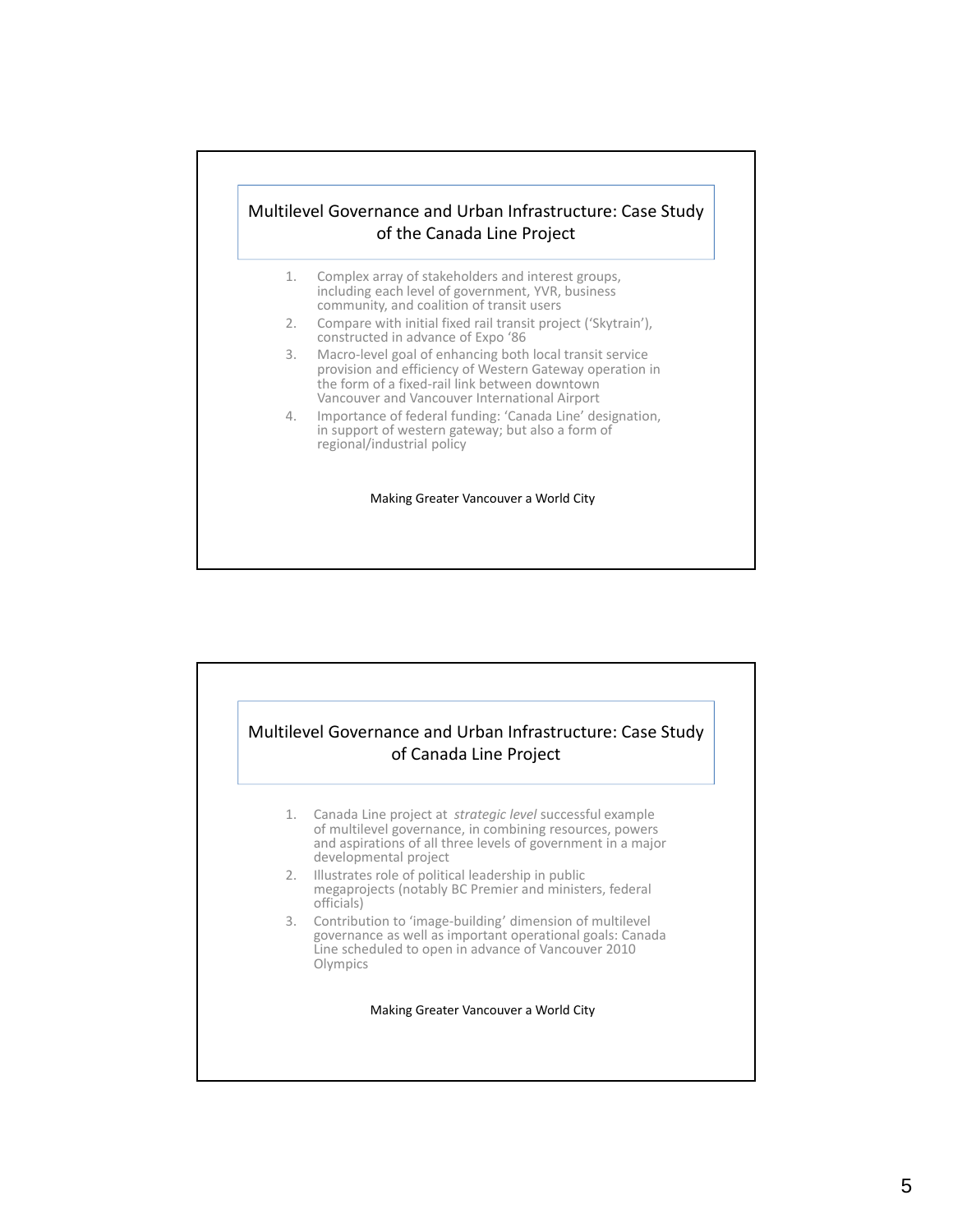## Multilevel Governance and Urban Infrastructure: Case Study of the Canada Line Project

- 1. Complex array of stakeholders and interest groups, including each level of government, YVR, business community, and coalition of transit users
- 2. Compare with initial fixed rail transit project ('Skytrain'), constructed in advance of Expo '86
- 3. Macro‐level goal of enhancing both local transit service provision and efficiency of Western Gateway operation in the form of a fixed‐rail link between downtown Vancouver and Vancouver International Airport
- 4. Importance of federal funding: 'Canada Line' designation, in support of western gateway; but also a form of regional/industrial policy

![](_page_4_Figure_6.jpeg)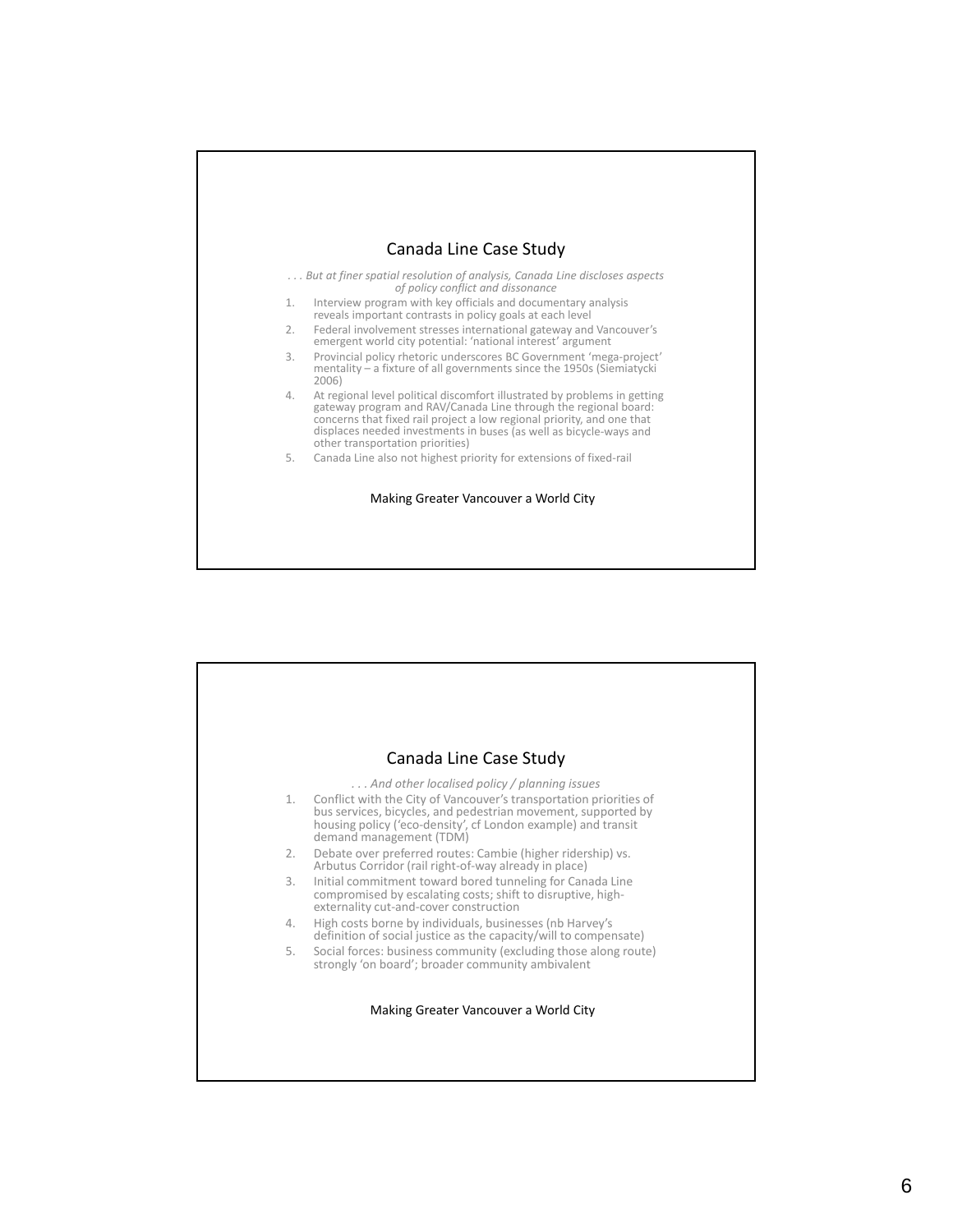![](_page_5_Figure_0.jpeg)

![](_page_5_Picture_1.jpeg)